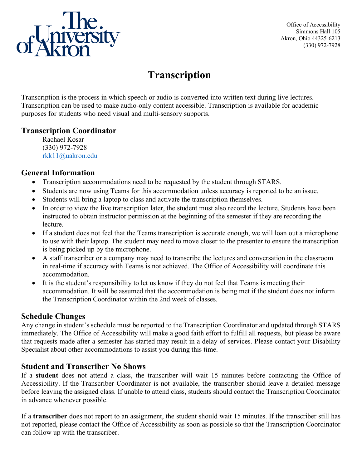

Office of Accessibility Simmons Hall 105 Akron, Ohio 44325-6213 (330) 972-7928

# **Transcription**

Transcription is the process in which speech or audio is converted into written text during live lectures. Transcription can be used to make audio-only content accessible. Transcription is available for academic purposes for students who need visual and multi-sensory supports.

#### **Transcription Coordinator**

Rachael Kosar (330) 972-7928 [rkk11@uakron.edu](mailto:rkk11@uakron.edu)

## **General Information**

- Transcription accommodations need to be requested by the student through STARS.
- Students are now using Teams for this accommodation unless accuracy is reported to be an issue.
- Students will bring a laptop to class and activate the transcription themselves.
- In order to view the live transcription later, the student must also record the lecture. Students have been instructed to obtain instructor permission at the beginning of the semester if they are recording the lecture.
- If a student does not feel that the Teams transcription is accurate enough, we will loan out a microphone to use with their laptop. The student may need to move closer to the presenter to ensure the transcription is being picked up by the microphone.
- A staff transcriber or a company may need to transcribe the lectures and conversation in the classroom in real-time if accuracy with Teams is not achieved. The Office of Accessibility will coordinate this accommodation.
- It is the student's responsibility to let us know if they do not feel that Teams is meeting their accommodation. It will be assumed that the accommodation is being met if the student does not inform the Transcription Coordinator within the 2nd week of classes.

## **Schedule Changes**

Any change in student's schedule must be reported to the Transcription Coordinator and updated through STARS immediately. The Office of Accessibility will make a good faith effort to fulfill all requests, but please be aware that requests made after a semester has started may result in a delay of services. Please contact your Disability Specialist about other accommodations to assist you during this time.

## **Student and Transcriber No Shows**

If a **student** does not attend a class, the transcriber will wait 15 minutes before contacting the Office of Accessibility. If the Transcriber Coordinator is not available, the transcriber should leave a detailed message before leaving the assigned class. If unable to attend class, students should contact the Transcription Coordinator in advance whenever possible.

If a **transcriber** does not report to an assignment, the student should wait 15 minutes. If the transcriber still has not reported, please contact the Office of Accessibility as soon as possible so that the Transcription Coordinator can follow up with the transcriber.